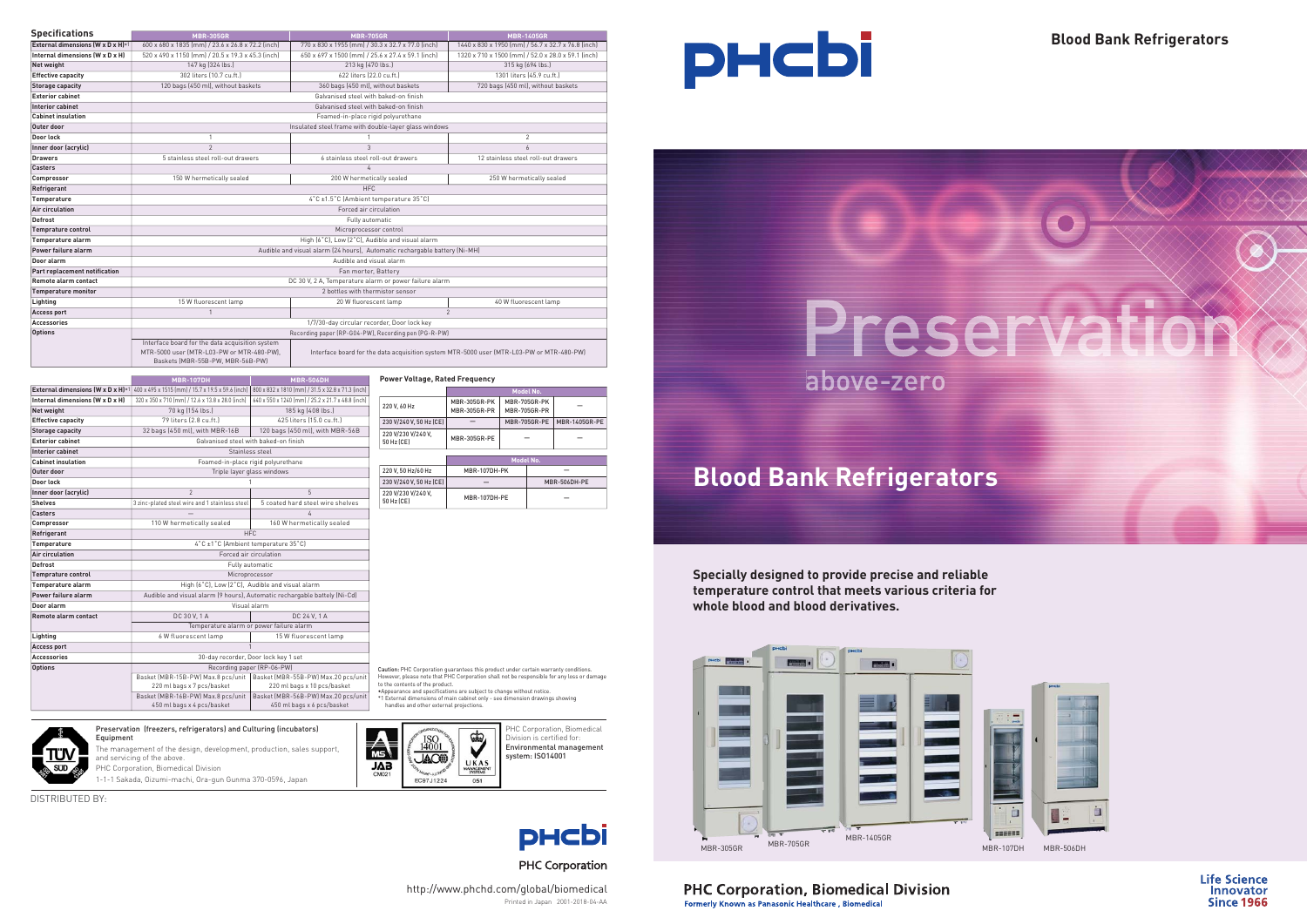# **Blood Bank Refrigerators**

Caution: PHC Corporation guarantees this product under certain warranty conditions. However, please note that PHC Corporation shall not be responsible for any loss or damage to the contents of the product.

•Appearance and specifications are subject to change without notice. \*1 External dimensions of main cabinet only - see dimension drawings showing handles and other external projections.







**PHC Corporation, Biomedical Division** Formerly Known as Panasonic Healthcare, Biomedical

| <b>Specifications</b>                                                                                                                                                                                                        | <b>MBR-305GR</b>                                                           | <b>MBR-705GR</b>                                     | <b>MBR-1405GR</b>                                  |  |  |
|------------------------------------------------------------------------------------------------------------------------------------------------------------------------------------------------------------------------------|----------------------------------------------------------------------------|------------------------------------------------------|----------------------------------------------------|--|--|
| External dimensions (W x D x H)*1                                                                                                                                                                                            | 600 x 680 x 1835 [mm] / 23.6 x 26.8 x 72.2 [inch]                          | 770 x 830 x 1955 [mm] / 30.3 x 32.7 x 77.0 [inch]    | 1440 x 830 x 1950 [mm] / 56.7 x 32.7 x 76.8 [inch] |  |  |
| Internal dimensions (W x D x H)                                                                                                                                                                                              | 520 x 490 x 1150 (mm) / 20.5 x 19.3 x 45.3 (inch)                          | 650 x 697 x 1500 [mm] / 25.6 x 27.4 x 59.1 [inch]    | 1320 x 710 x 1500 (mm) / 52.0 x 28.0 x 59.1 (inch) |  |  |
| Net weight                                                                                                                                                                                                                   | 147 kg (324 lbs.)                                                          | 213 kg (470 lbs.)                                    | 315 kg (694 lbs.)                                  |  |  |
| <b>Effective capacity</b>                                                                                                                                                                                                    | 302 liters (10.7 cu.ft.)                                                   | 622 liters (22.0 cu.ft.)                             | 1301 liters (45.9 cu.ft.)                          |  |  |
| <b>Storage capacity</b>                                                                                                                                                                                                      | 120 bags (450 ml), without baskets                                         | 360 bags (450 ml), without baskets                   | 720 bags (450 ml), without baskets                 |  |  |
| <b>Exterior cabinet</b>                                                                                                                                                                                                      |                                                                            | Galvanised steel with baked-on finish                |                                                    |  |  |
| <b>Interior cabinet</b>                                                                                                                                                                                                      |                                                                            | Galvanised steel with baked-on finish                |                                                    |  |  |
| <b>Cabinet insulation</b>                                                                                                                                                                                                    |                                                                            | Foamed-in-place rigid polyurethane                   |                                                    |  |  |
| Outer door                                                                                                                                                                                                                   | Insulated steel frame with double-layer glass windows                      |                                                      |                                                    |  |  |
| Door lock                                                                                                                                                                                                                    | $\mathbf{1}$                                                               |                                                      | $\overline{2}$                                     |  |  |
| Inner door (acrylic)                                                                                                                                                                                                         | $\overline{2}$                                                             | 3                                                    | 6                                                  |  |  |
| <b>Drawers</b>                                                                                                                                                                                                               | 5 stainless steel roll-out drawers                                         | 6 stainless steel roll-out drawers                   | 12 stainless steel roll-out drawers                |  |  |
| Casters                                                                                                                                                                                                                      |                                                                            |                                                      |                                                    |  |  |
| Compressor                                                                                                                                                                                                                   | 150 W hermetically sealed                                                  | 200 W hermetically sealed                            | 250 W hermetically sealed                          |  |  |
| Refrigerant                                                                                                                                                                                                                  | <b>HFC</b>                                                                 |                                                      |                                                    |  |  |
| <b>Temperature</b>                                                                                                                                                                                                           | 4°C ±1.5°C (Ambient temperature 35°C)                                      |                                                      |                                                    |  |  |
| <b>Air circulation</b>                                                                                                                                                                                                       | Forced air circulation                                                     |                                                      |                                                    |  |  |
| <b>Defrost</b>                                                                                                                                                                                                               | Fully automatic                                                            |                                                      |                                                    |  |  |
| <b>Temprature control</b>                                                                                                                                                                                                    | Microprocessor control                                                     |                                                      |                                                    |  |  |
| Temperature alarm                                                                                                                                                                                                            | High [6°C], Low [2°C], Audible and visual alarm                            |                                                      |                                                    |  |  |
| Power failure alarm                                                                                                                                                                                                          | Audible and visual alarm (24 hours), Automatic rechargable battery (Ni-MH) |                                                      |                                                    |  |  |
| Door alarm                                                                                                                                                                                                                   | Audible and visual alarm                                                   |                                                      |                                                    |  |  |
| Part replacement notification                                                                                                                                                                                                | Fan morter, Battery                                                        |                                                      |                                                    |  |  |
| <b>Remote alarm contact</b>                                                                                                                                                                                                  | DC 30 V, 2 A, Temperature alarm or power failure alarm                     |                                                      |                                                    |  |  |
| <b>Temperature monitor</b>                                                                                                                                                                                                   | 2 bottles with thermistor sensor                                           |                                                      |                                                    |  |  |
| Lighting                                                                                                                                                                                                                     | 15 W fluorescent lamp                                                      | 20 W fluorescent lamp                                | 40 W fluorescent lamp                              |  |  |
| <b>Access port</b>                                                                                                                                                                                                           |                                                                            | $\mathfrak{p}$                                       |                                                    |  |  |
| <b>Accessories</b>                                                                                                                                                                                                           | 1/7/30-day circular recorder, Door lock key                                |                                                      |                                                    |  |  |
| <b>Options</b>                                                                                                                                                                                                               |                                                                            | Recording paper (RP-G04-PW), Recording pen (PG-R-PW) |                                                    |  |  |
| Interface board for the data acquisition system<br>MTR-5000 user (MTR-L03-PW or MTR-480-PW),<br>Interface board for the data acquisition system MTR-5000 user (MTR-L03-PW or MTR-480-PW)<br>Baskets (MBR-55B-PW, MBR-56B-PW) |                                                                            |                                                      |                                                    |  |  |

PHC Corporation, Biomedical Division is certified for: Environmental management system: ISO14001



## **PHC Corporation**

|                                   | <b>MBR-107DH</b>                                  | <b>MBR-506DH</b>                                                          | <b>Power Voltage, Rated Frequency</b>                                            |                     |  |
|-----------------------------------|---------------------------------------------------|---------------------------------------------------------------------------|----------------------------------------------------------------------------------|---------------------|--|
| External dimensions (W x D x H)*1 | 400 x 495 x 1515 [mm] / 15.7 x 19.5 x 59.6 [inch] | 800 x 832 x 1810 [mm] / 31.5 x 32.8 x 71.3 [inch]                         |                                                                                  |                     |  |
| Internal dimensions (W x D x H)   | 320 x 350 x 710 [mm] / 12.6 x 13.8 x 28.0 [inch]  | 640 x 550 x 1240 [mm] / 25.2 x 21.7 x 48.8 [inch]                         |                                                                                  | MBR-305GR-PK        |  |
| <b>Net weight</b>                 | 70 kg (154 lbs.)                                  | 185 kg (408 lbs.)                                                         | 220 V. 60 Hz                                                                     | <b>MBR-305GR-PR</b> |  |
| <b>Effective capacity</b>         | 79 liters (2.8 cu.ft.)                            | 425 liters (15.0 cu.ft.)                                                  | 230 V/240 V, 50 Hz (CE)                                                          |                     |  |
| <b>Storage capacity</b>           | 32 bags (450 ml), with MBR-16B                    | 120 bags (450 ml), with MBR-56B                                           | 220 V/230 V/240 V,                                                               |                     |  |
| <b>Exterior cabinet</b>           |                                                   | Galvanised steel with baked-on finish                                     | 50 Hz (CE)                                                                       | <b>MBR-305GR-PE</b> |  |
| <b>Interior cabinet</b>           |                                                   | Stainless steel                                                           |                                                                                  |                     |  |
| <b>Cabinet insulation</b>         |                                                   | Foamed-in-place rigid polyurethane                                        |                                                                                  |                     |  |
| Outer door                        |                                                   | Triple layer glass windows                                                | 220 V. 50 Hz/60 Hz                                                               | <b>MBR-107D</b>     |  |
| Door lock                         |                                                   | 230 V/240 V, 50 Hz (CE)                                                   |                                                                                  |                     |  |
| Inner door (acrylic)              | $\mathfrak{p}$                                    | $\overline{5}$                                                            | 220 V/230 V/240 V,                                                               | <b>MBR-107D</b>     |  |
| <b>Shelves</b>                    | 3 zinc-plated steel wire and 1 stainless steel    | 5 coated hard steel wire shelves                                          | 50 Hz (CE)                                                                       |                     |  |
| <b>Casters</b>                    |                                                   | 4                                                                         |                                                                                  |                     |  |
| Compressor                        | 110 W hermetically sealed                         | 160 W hermetically sealed                                                 |                                                                                  |                     |  |
| Refrigerant                       |                                                   | <b>HFC</b>                                                                |                                                                                  |                     |  |
| Temperature                       |                                                   | 4°C ±1°C (Ambient temperature 35°C)                                       |                                                                                  |                     |  |
| Air circulation                   | Forced air circulation                            |                                                                           |                                                                                  |                     |  |
| <b>Defrost</b>                    |                                                   | Fully automatic                                                           |                                                                                  |                     |  |
| <b>Temprature control</b>         |                                                   | Microprocessor                                                            |                                                                                  |                     |  |
| Temperature alarm                 |                                                   | High (6°C), Low (2°C), Audible and visual alarm                           |                                                                                  |                     |  |
| Power failure alarm               |                                                   | Audible and visual alarm (9 hours), Automatic rechargable battely (Ni-Cd) |                                                                                  |                     |  |
| Door alarm                        |                                                   | Visual alarm                                                              |                                                                                  |                     |  |
| Remote alarm contact              | DC 30 V, 1 A                                      | DC 24 V, 1 A                                                              |                                                                                  |                     |  |
|                                   | Temperature alarm or power failure alarm          |                                                                           |                                                                                  |                     |  |
| Lighting                          | 6 W fluorescent lamp                              | 15 W fluorescent lamp                                                     |                                                                                  |                     |  |
| <b>Access port</b>                | $\mathbf{1}$                                      |                                                                           |                                                                                  |                     |  |
| <b>Accessories</b>                |                                                   | 30-day recorder, Door lock key 1 set                                      |                                                                                  |                     |  |
| <b>Options</b>                    | Recording paper (RP-06-PW)                        | Caution: PHC Corporation guarantees this pro                              |                                                                                  |                     |  |
|                                   | Basket (MBR-15B-PW) Max.8 pcs/unit                | Basket (MBR-55B-PW) Max.20 pcs/unit                                       | However, please note that PHC Corporation sh                                     |                     |  |
|                                   | 220 ml bags x 7 pcs/basket                        | 220 ml bags x 10 pcs/basket                                               | to the contents of the product.<br>*Appearance and specifications are subject to |                     |  |
|                                   | Basket (MBR-16B-PW) Max.8 pcs/unit                | Basket (MBR-56B-PW) Max.20 pcs/unit                                       | *1 External dimensions of main cabinet only - :                                  |                     |  |
|                                   | 450 ml bags x 4 pcs/basket                        | 450 ml bags x 6 pcs/basket                                                | handles and other external projections.                                          |                     |  |





| <b>Power Voltage, Rated Frequency</b> |                                            |                                            |              |                      |  |  |  |
|---------------------------------------|--------------------------------------------|--------------------------------------------|--------------|----------------------|--|--|--|
|                                       | Model No.                                  |                                            |              |                      |  |  |  |
| 220 V. 60 Hz                          | <b>MBR-305GR-PK</b><br><b>MBR-305GR-PR</b> | <b>MBR-705GR-PK</b><br><b>MBR-705GR-PR</b> |              |                      |  |  |  |
| 230 V/240 V. 50 Hz (CE)               |                                            | <b>MBR-705GR-PE</b>                        |              | <b>MBR-1405GR-PE</b> |  |  |  |
| 220 V/230 V/240 V.<br>50 Hz (CE)      | <b>MBR-305GR-PE</b>                        |                                            |              |                      |  |  |  |
|                                       | Model No.                                  |                                            |              |                      |  |  |  |
| 220 V. 50 Hz/60 Hz                    | MBR-107DH-PK                               |                                            |              |                      |  |  |  |
| 230 V/240 V. 50 Hz (CE)               |                                            |                                            | MBR-506DH-PE |                      |  |  |  |
| 220 V/230 V/240 V.<br>50 Hz (CE)      | <b>MBR-107DH-PE</b>                        |                                            |              |                      |  |  |  |

Printed in Japan 2001-2018-04-AA http://www.phchd.com/global/biomedical



# Preserva above-zero

DISTRIBUTED BY:



#### Preservation (freezers, refrigerators) and Culturing (incubators)

Equipment The management of the design, development, production, sales support, and servicing of the above. PHC Corporation, Biomedical Division

1-1-1 Sakada, Oizumi-machi, Ora-gun Gunma 370-0596, Japan

**Specially designed to provide precise and reliable temperature control that meets various criteria for whole blood and blood derivatives.**